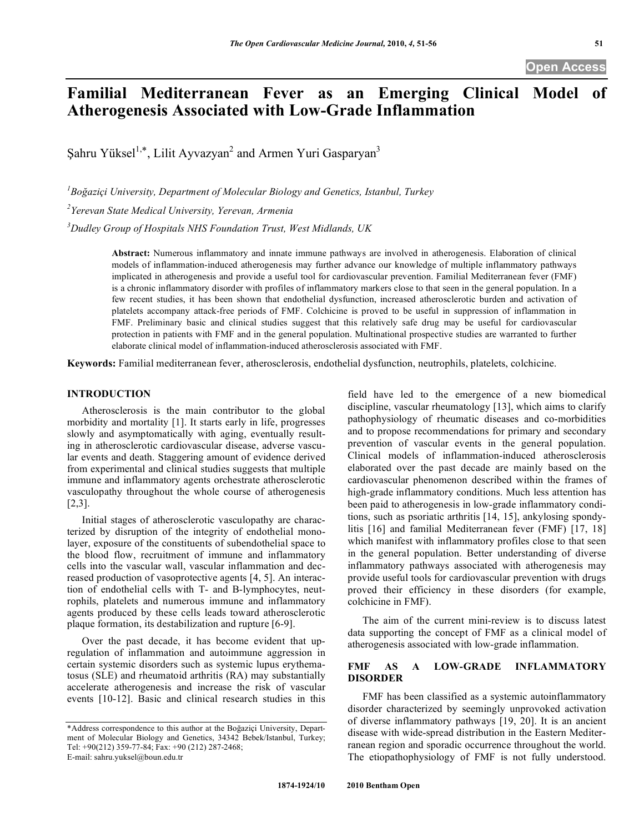# **Familial Mediterranean Fever as an Emerging Clinical Model of Atherogenesis Associated with Low-Grade Inflammation**

Şahru Yüksel<sup>1,\*</sup>, Lilit Ayvazyan<sup>2</sup> and Armen Yuri Gasparyan<sup>3</sup>

*1 Boğaziçi University, Department of Molecular Biology and Genetics, Istanbul, Turkey 2 Yerevan State Medical University, Yerevan, Armenia*

*3 Dudley Group of Hospitals NHS Foundation Trust, West Midlands, UK*

**Abstract:** Numerous inflammatory and innate immune pathways are involved in atherogenesis. Elaboration of clinical models of inflammation-induced atherogenesis may further advance our knowledge of multiple inflammatory pathways implicated in atherogenesis and provide a useful tool for cardiovascular prevention. Familial Mediterranean fever (FMF) is a chronic inflammatory disorder with profiles of inflammatory markers close to that seen in the general population. In a few recent studies, it has been shown that endothelial dysfunction, increased atherosclerotic burden and activation of platelets accompany attack-free periods of FMF. Colchicine is proved to be useful in suppression of inflammation in FMF. Preliminary basic and clinical studies suggest that this relatively safe drug may be useful for cardiovascular protection in patients with FMF and in the general population. Multinational prospective studies are warranted to further elaborate clinical model of inflammation-induced atherosclerosis associated with FMF.

**Keywords:** Familial mediterranean fever, atherosclerosis, endothelial dysfunction, neutrophils, platelets, colchicine.

# **INTRODUCTION**

Atherosclerosis is the main contributor to the global morbidity and mortality [1]. It starts early in life, progresses slowly and asymptomatically with aging, eventually resulting in atherosclerotic cardiovascular disease, adverse vascular events and death. Staggering amount of evidence derived from experimental and clinical studies suggests that multiple immune and inflammatory agents orchestrate atherosclerotic vasculopathy throughout the whole course of atherogenesis [2,3].

Initial stages of atherosclerotic vasculopathy are characterized by disruption of the integrity of endothelial monolayer, exposure of the constituents of subendothelial space to the blood flow, recruitment of immune and inflammatory cells into the vascular wall, vascular inflammation and decreased production of vasoprotective agents [4, 5]. An interaction of endothelial cells with T- and B-lymphocytes, neutrophils, platelets and numerous immune and inflammatory agents produced by these cells leads toward atherosclerotic plaque formation, its destabilization and rupture [6-9].

Over the past decade, it has become evident that upregulation of inflammation and autoimmune aggression in certain systemic disorders such as systemic lupus erythematosus (SLE) and rheumatoid arthritis (RA) may substantially accelerate atherogenesis and increase the risk of vascular events [10-12]. Basic and clinical research studies in this

field have led to the emergence of a new biomedical discipline, vascular rheumatology [13], which aims to clarify pathophysiology of rheumatic diseases and co-morbidities and to propose recommendations for primary and secondary prevention of vascular events in the general population. Clinical models of inflammation-induced atherosclerosis elaborated over the past decade are mainly based on the cardiovascular phenomenon described within the frames of high-grade inflammatory conditions. Much less attention has been paid to atherogenesis in low-grade inflammatory conditions, such as psoriatic arthritis [14, 15], ankylosing spondylitis [16] and familial Mediterranean fever (FMF) [17, 18] which manifest with inflammatory profiles close to that seen in the general population. Better understanding of diverse inflammatory pathways associated with atherogenesis may provide useful tools for cardiovascular prevention with drugs proved their efficiency in these disorders (for example, colchicine in FMF).

The aim of the current mini-review is to discuss latest data supporting the concept of FMF as a clinical model of atherogenesis associated with low-grade inflammation.

## **FMF AS A LOW-GRADE INFLAMMATORY DISORDER**

FMF has been classified as a systemic autoinflammatory disorder characterized by seemingly unprovoked activation of diverse inflammatory pathways [19, 20]. It is an ancient disease with wide-spread distribution in the Eastern Mediterranean region and sporadic occurrence throughout the world. The etiopathophysiology of FMF is not fully understood.

<sup>\*</sup>Address correspondence to this author at the Boğaziçi University, Department of Molecular Biology and Genetics, 34342 Bebek/Istanbul, Turkey; Tel: +90(212) 359-77-84; Fax: +90 (212) 287-2468; E-mail: sahru.yuksel@boun.edu.tr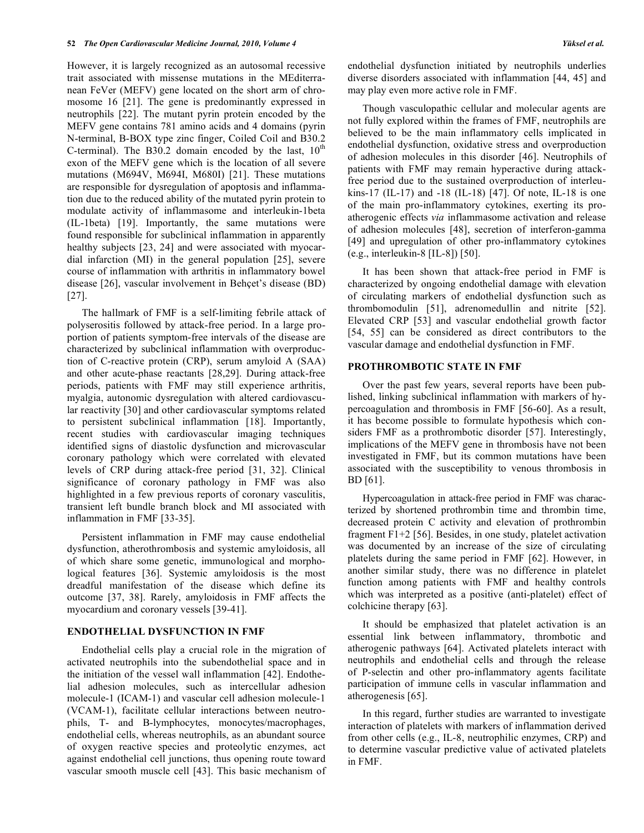However, it is largely recognized as an autosomal recessive trait associated with missense mutations in the MEditerranean FeVer (MEFV) gene located on the short arm of chromosome 16 [21]. The gene is predominantly expressed in neutrophils [22]. The mutant pyrin protein encoded by the MEFV gene contains 781 amino acids and 4 domains (pyrin N-terminal, B-BOX type zinc finger, Coiled Coil and B30.2 C-terminal). The B30.2 domain encoded by the last,  $10^{th}$ exon of the MEFV gene which is the location of all severe mutations (M694V, M694I, M680I) [21]. These mutations are responsible for dysregulation of apoptosis and inflammation due to the reduced ability of the mutated pyrin protein to modulate activity of inflammasome and interleukin-1beta (IL-1beta) [19]. Importantly, the same mutations were found responsible for subclinical inflammation in apparently healthy subjects [23, 24] and were associated with myocardial infarction (MI) in the general population [25], severe course of inflammation with arthritis in inflammatory bowel disease [26], vascular involvement in Behçet's disease (BD) [27].

The hallmark of FMF is a self-limiting febrile attack of polyserositis followed by attack-free period. In a large proportion of patients symptom-free intervals of the disease are characterized by subclinical inflammation with overproduction of C-reactive protein (CRP), serum amyloid A (SAA) and other acute-phase reactants [28,29]. During attack-free periods, patients with FMF may still experience arthritis, myalgia, autonomic dysregulation with altered cardiovascular reactivity [30] and other cardiovascular symptoms related to persistent subclinical inflammation [18]. Importantly, recent studies with cardiovascular imaging techniques identified signs of diastolic dysfunction and microvascular coronary pathology which were correlated with elevated levels of CRP during attack-free period [31, 32]. Clinical significance of coronary pathology in FMF was also highlighted in a few previous reports of coronary vasculitis, transient left bundle branch block and MI associated with inflammation in FMF [33-35].

Persistent inflammation in FMF may cause endothelial dysfunction, atherothrombosis and systemic amyloidosis, all of which share some genetic, immunological and morphological features [36]. Systemic amyloidosis is the most dreadful manifestation of the disease which define its outcome [37, 38]. Rarely, amyloidosis in FMF affects the myocardium and coronary vessels [39-41].

## **ENDOTHELIAL DYSFUNCTION IN FMF**

Endothelial cells play a crucial role in the migration of activated neutrophils into the subendothelial space and in the initiation of the vessel wall inflammation [42]. Endothelial adhesion molecules, such as intercellular adhesion molecule-1 (ICAM-1) and vascular cell adhesion molecule-1 (VCAM-1), facilitate cellular interactions between neutrophils, T- and B-lymphocytes, monocytes/macrophages, endothelial cells, whereas neutrophils, as an abundant source of oxygen reactive species and proteolytic enzymes, act against endothelial cell junctions, thus opening route toward vascular smooth muscle cell [43]. This basic mechanism of endothelial dysfunction initiated by neutrophils underlies diverse disorders associated with inflammation [44, 45] and may play even more active role in FMF.

Though vasculopathic cellular and molecular agents are not fully explored within the frames of FMF, neutrophils are believed to be the main inflammatory cells implicated in endothelial dysfunction, oxidative stress and overproduction of adhesion molecules in this disorder [46]. Neutrophils of patients with FMF may remain hyperactive during attackfree period due to the sustained overproduction of interleukins-17 (IL-17) and -18 (IL-18) [47]. Of note, IL-18 is one of the main pro-inflammatory cytokines, exerting its proatherogenic effects *via* inflammasome activation and release of adhesion molecules [48], secretion of interferon-gamma [49] and upregulation of other pro-inflammatory cytokines (e.g., interleukin-8 [IL-8]) [50].

It has been shown that attack-free period in FMF is characterized by ongoing endothelial damage with elevation of circulating markers of endothelial dysfunction such as thrombomodulin [51], adrenomedullin and nitrite [52]. Elevated CRP [53] and vascular endothelial growth factor [54, 55] can be considered as direct contributors to the vascular damage and endothelial dysfunction in FMF.

#### **PROTHROMBOTIC STATE IN FMF**

Over the past few years, several reports have been published, linking subclinical inflammation with markers of hypercoagulation and thrombosis in FMF [56-60]. As a result, it has become possible to formulate hypothesis which considers FMF as a prothrombotic disorder [57]. Interestingly, implications of the MEFV gene in thrombosis have not been investigated in FMF, but its common mutations have been associated with the susceptibility to venous thrombosis in BD [61].

Hypercoagulation in attack-free period in FMF was characterized by shortened prothrombin time and thrombin time, decreased protein C activity and elevation of prothrombin fragment F1+2 [56]. Besides, in one study, platelet activation was documented by an increase of the size of circulating platelets during the same period in FMF [62]. However, in another similar study, there was no difference in platelet function among patients with FMF and healthy controls which was interpreted as a positive (anti-platelet) effect of colchicine therapy [63].

It should be emphasized that platelet activation is an essential link between inflammatory, thrombotic and atherogenic pathways [64]. Activated platelets interact with neutrophils and endothelial cells and through the release of P-selectin and other pro-inflammatory agents facilitate participation of immune cells in vascular inflammation and atherogenesis [65].

In this regard, further studies are warranted to investigate interaction of platelets with markers of inflammation derived from other cells (e.g., IL-8, neutrophilic enzymes, CRP) and to determine vascular predictive value of activated platelets in FMF.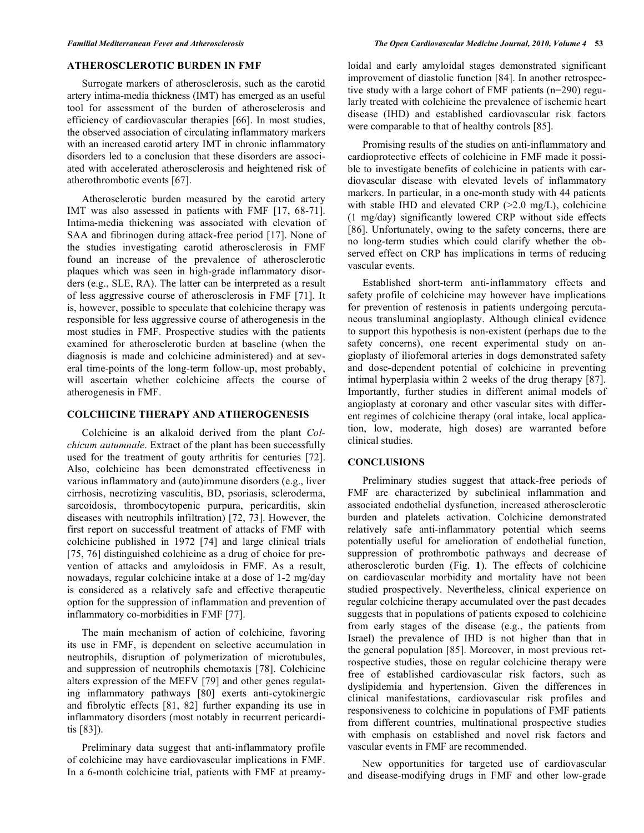#### **ATHEROSCLEROTIC BURDEN IN FMF**

Surrogate markers of atherosclerosis, such as the carotid artery intima-media thickness (IMT) has emerged as an useful tool for assessment of the burden of atherosclerosis and efficiency of cardiovascular therapies [66]. In most studies, the observed association of circulating inflammatory markers with an increased carotid artery IMT in chronic inflammatory disorders led to a conclusion that these disorders are associated with accelerated atherosclerosis and heightened risk of atherothrombotic events [67].

Atherosclerotic burden measured by the carotid artery IMT was also assessed in patients with FMF [17, 68-71]. Intima-media thickening was associated with elevation of SAA and fibrinogen during attack-free period [17]. None of the studies investigating carotid atherosclerosis in FMF found an increase of the prevalence of atherosclerotic plaques which was seen in high-grade inflammatory disorders (e.g., SLE, RA). The latter can be interpreted as a result of less aggressive course of atherosclerosis in FMF [71]. It is, however, possible to speculate that colchicine therapy was responsible for less aggressive course of atherogenesis in the most studies in FMF. Prospective studies with the patients examined for atherosclerotic burden at baseline (when the diagnosis is made and colchicine administered) and at several time-points of the long-term follow-up, most probably, will ascertain whether colchicine affects the course of atherogenesis in FMF.

### **COLCHICINE THERAPY AND ATHEROGENESIS**

Colchicine is an alkaloid derived from the plant *Colchicum autumnale*. Extract of the plant has been successfully used for the treatment of gouty arthritis for centuries [72]. Also, colchicine has been demonstrated effectiveness in various inflammatory and (auto)immune disorders (e.g., liver cirrhosis, necrotizing vasculitis, BD, psoriasis, scleroderma, sarcoidosis, thrombocytopenic purpura, pericarditis, skin diseases with neutrophils infiltration) [72, 73]. However, the first report on successful treatment of attacks of FMF with colchicine published in 1972 [74] and large clinical trials [75, 76] distinguished colchicine as a drug of choice for prevention of attacks and amyloidosis in FMF. As a result, nowadays, regular colchicine intake at a dose of 1-2 mg/day is considered as a relatively safe and effective therapeutic option for the suppression of inflammation and prevention of inflammatory co-morbidities in FMF [77].

The main mechanism of action of colchicine, favoring its use in FMF, is dependent on selective accumulation in neutrophils, disruption of polymerization of microtubules, and suppression of neutrophils chemotaxis [78]. Colchicine alters expression of the MEFV [79] and other genes regulating inflammatory pathways [80] exerts anti-cytokinergic and fibrolytic effects [81, 82] further expanding its use in inflammatory disorders (most notably in recurrent pericarditis [83]).

Preliminary data suggest that anti-inflammatory profile of colchicine may have cardiovascular implications in FMF. In a 6-month colchicine trial, patients with FMF at preamyloidal and early amyloidal stages demonstrated significant improvement of diastolic function [84]. In another retrospective study with a large cohort of FMF patients (n=290) regularly treated with colchicine the prevalence of ischemic heart disease (IHD) and established cardiovascular risk factors were comparable to that of healthy controls [85].

Promising results of the studies on anti-inflammatory and cardioprotective effects of colchicine in FMF made it possible to investigate benefits of colchicine in patients with cardiovascular disease with elevated levels of inflammatory markers. In particular, in a one-month study with 44 patients with stable IHD and elevated CRP (>2.0 mg/L), colchicine (1 mg/day) significantly lowered CRP without side effects [86]. Unfortunately, owing to the safety concerns, there are no long-term studies which could clarify whether the observed effect on CRP has implications in terms of reducing vascular events.

Established short-term anti-inflammatory effects and safety profile of colchicine may however have implications for prevention of restenosis in patients undergoing percutaneous transluminal angioplasty. Although clinical evidence to support this hypothesis is non-existent (perhaps due to the safety concerns), one recent experimental study on angioplasty of iliofemoral arteries in dogs demonstrated safety and dose-dependent potential of colchicine in preventing intimal hyperplasia within 2 weeks of the drug therapy [87]. Importantly, further studies in different animal models of angioplasty at coronary and other vascular sites with different regimes of colchicine therapy (oral intake, local application, low, moderate, high doses) are warranted before clinical studies.

## **CONCLUSIONS**

Preliminary studies suggest that attack-free periods of FMF are characterized by subclinical inflammation and associated endothelial dysfunction, increased atherosclerotic burden and platelets activation. Colchicine demonstrated relatively safe anti-inflammatory potential which seems potentially useful for amelioration of endothelial function, suppression of prothrombotic pathways and decrease of atherosclerotic burden (Fig. **1**). The effects of colchicine on cardiovascular morbidity and mortality have not been studied prospectively. Nevertheless, clinical experience on regular colchicine therapy accumulated over the past decades suggests that in populations of patients exposed to colchicine from early stages of the disease (e.g., the patients from Israel) the prevalence of IHD is not higher than that in the general population [85]. Moreover, in most previous retrospective studies, those on regular colchicine therapy were free of established cardiovascular risk factors, such as dyslipidemia and hypertension. Given the differences in clinical manifestations, cardiovascular risk profiles and responsiveness to colchicine in populations of FMF patients from different countries, multinational prospective studies with emphasis on established and novel risk factors and vascular events in FMF are recommended.

New opportunities for targeted use of cardiovascular and disease-modifying drugs in FMF and other low-grade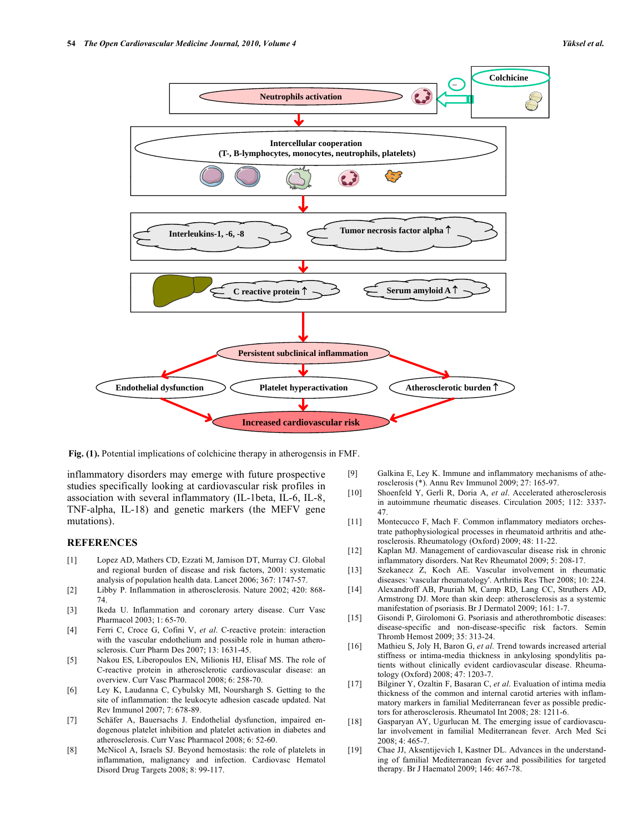

**Fig. (1).** Potential implications of colchicine therapy in atherogensis in FMF.

inflammatory disorders may emerge with future prospective studies specifically looking at cardiovascular risk profiles in association with several inflammatory (IL-1beta, IL-6, IL-8, TNF-alpha, IL-18) and genetic markers (the MEFV gene mutations).

### **REFERENCES**

- [1] Lopez AD, Mathers CD, Ezzati M, Jamison DT, Murray CJ. Global and regional burden of disease and risk factors, 2001: systematic analysis of population health data. Lancet 2006; 367: 1747-57.
- [2] Libby P. Inflammation in atherosclerosis. Nature 2002; 420: 868- 74.
- [3] Ikeda U. Inflammation and coronary artery disease. Curr Vasc Pharmacol 2003; 1: 65-70.
- [4] Ferri C, Croce G, Cofini V, *et al*. C-reactive protein: interaction with the vascular endothelium and possible role in human atherosclerosis. Curr Pharm Des 2007; 13: 1631-45.
- [5] Nakou ES, Liberopoulos EN, Milionis HJ, Elisaf MS. The role of C-reactive protein in atherosclerotic cardiovascular disease: an overview. Curr Vasc Pharmacol 2008; 6: 258-70.
- [6] Ley K, Laudanna C, Cybulsky MI, Nourshargh S. Getting to the site of inflammation: the leukocyte adhesion cascade updated. Nat Rev Immunol 2007; 7: 678-89.
- [7] Schäfer A, Bauersachs J. Endothelial dysfunction, impaired endogenous platelet inhibition and platelet activation in diabetes and atherosclerosis. Curr Vasc Pharmacol 2008; 6: 52-60.
- [8] McNicol A, Israels SJ. Beyond hemostasis: the role of platelets in inflammation, malignancy and infection. Cardiovasc Hematol Disord Drug Targets 2008; 8: 99-117.
- [9] Galkina E, Ley K. Immune and inflammatory mechanisms of atherosclerosis (\*). Annu Rev Immunol 2009; 27: 165-97.
- [10] Shoenfeld Y, Gerli R, Doria A, *et al*. Accelerated atherosclerosis in autoimmune rheumatic diseases. Circulation 2005; 112: 3337- 47.
- [11] Montecucco F, Mach F. Common inflammatory mediators orchestrate pathophysiological processes in rheumatoid arthritis and atherosclerosis. Rheumatology (Oxford) 2009; 48: 11-22.
- [12] Kaplan MJ. Management of cardiovascular disease risk in chronic inflammatory disorders. Nat Rev Rheumatol 2009; 5: 208-17.
- [13] Szekanecz Z, Koch AE. Vascular involvement in rheumatic diseases: 'vascular rheumatology'. Arthritis Res Ther 2008; 10: 224.
- [14] Alexandroff AB, Pauriah M, Camp RD, Lang CC, Struthers AD, Armstrong DJ. More than skin deep: atherosclerosis as a systemic manifestation of psoriasis. Br J Dermatol 2009; 161: 1-7.
- [15] Gisondi P, Girolomoni G. Psoriasis and atherothrombotic diseases: disease-specific and non-disease-specific risk factors. Semin Thromb Hemost 2009; 35: 313-24.
- [16] Mathieu S, Joly H, Baron G, *et al*. Trend towards increased arterial stiffness or intima-media thickness in ankylosing spondylitis patients without clinically evident cardiovascular disease. Rheumatology (Oxford) 2008; 47: 1203-7.
- [17] Bilginer Y, Ozaltin F, Basaran C, *et al*. Evaluation of intima media thickness of the common and internal carotid arteries with inflammatory markers in familial Mediterranean fever as possible predictors for atherosclerosis. Rheumatol Int 2008; 28: 1211-6.
- [18] Gasparyan AY, Ugurlucan M. The emerging issue of cardiovascular involvement in familial Mediterranean fever. Arch Med Sci 2008; 4: 465-7.
- [19] Chae JJ, Aksentijevich I, Kastner DL. Advances in the understanding of familial Mediterranean fever and possibilities for targeted therapy. Br J Haematol 2009; 146: 467-78.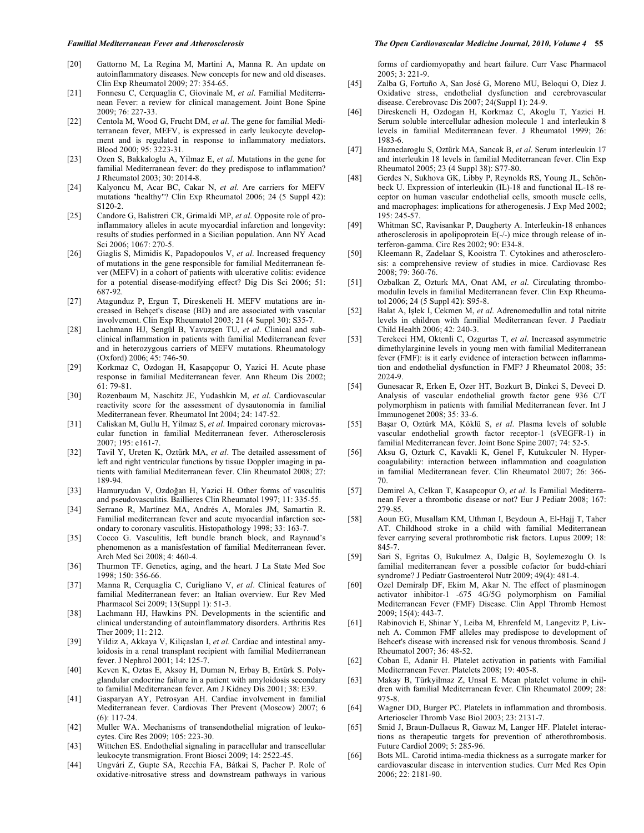#### [20] Gattorno M, La Regina M, Martini A, Manna R. An update on autoinflammatory diseases. New concepts for new and old diseases. Clin Exp Rheumatol 2009; 27: 354-65.

- [21] Fonnesu C, Cerquaglia C, Giovinale M, *et al*. Familial Mediterranean Fever: a review for clinical management. Joint Bone Spine 2009; 76: 227-33.
- [22] Centola M, Wood G, Frucht DM, *et al*. The gene for familial Mediterranean fever, MEFV, is expressed in early leukocyte development and is regulated in response to inflammatory mediators. Blood 2000; 95: 3223-31.
- [23] Ozen S, Bakkaloglu A, Yilmaz E, *et al*. Mutations in the gene for familial Mediterranean fever: do they predispose to inflammation? J Rheumatol 2003; 30: 2014-8.
- [24] Kalyoncu M, Acar BC, Cakar N, *et al*. Are carriers for MEFV mutations "healthy"? Clin Exp Rheumatol 2006; 24 (5 Suppl 42): S120-2.
- [25] Candore G, Balistreri CR, Grimaldi MP, *et al*. Opposite role of proinflammatory alleles in acute myocardial infarction and longevity: results of studies performed in a Sicilian population. Ann NY Acad Sci 2006; 1067: 270-5.
- [26] Giaglis S, Mimidis K, Papadopoulos V, *et al*. Increased frequency of mutations in the gene responsible for familial Mediterranean fever (MEFV) in a cohort of patients with ulcerative colitis: evidence for a potential disease-modifying effect? Dig Dis Sci 2006; 51: 687-92.
- [27] Atagunduz P, Ergun T, Direskeneli H. MEFV mutations are increased in Behçet's disease (BD) and are associated with vascular involvement. Clin Exp Rheumatol 2003; 21 (4 Suppl 30): S35-7.
- [28] Lachmann HJ, Sengül B, Yavuzşen TU, *et al*. Clinical and subclinical inflammation in patients with familial Mediterranean fever and in heterozygous carriers of MEFV mutations. Rheumatology (Oxford) 2006; 45: 746-50.
- [29] Korkmaz C, Ozdogan H, Kasapçopur O, Yazici H. Acute phase response in familial Mediterranean fever. Ann Rheum Dis 2002;  $61:79-81.$
- [30] Rozenbaum M, Naschitz JE, Yudashkin M, *et al*. Cardiovascular reactivity score for the assessment of dysautonomia in familial Mediterranean fever. Rheumatol Int 2004; 24: 147-52.
- [31] Caliskan M, Gullu H, Yilmaz S, *et al*. Impaired coronary microvascular function in familial Mediterranean fever. Atherosclerosis 2007; 195: e161-7.
- [32] Tavil Y, Ureten K, Oztürk MA, *et al*. The detailed assessment of left and right ventricular functions by tissue Doppler imaging in patients with familial Mediterranean fever. Clin Rheumatol 2008; 27: 189-94.
- [33] Hamuryudan V, Ozdoğan H, Yazici H. Other forms of vasculitis and pseudovasculitis. Baillieres Clin Rheumatol 1997; 11: 335-55.
- [34] Serrano R, Martínez MA, Andrés A, Morales JM, Samartin R. Familial mediterranean fever and acute myocardial infarction secondary to coronary vasculitis. Histopathology 1998; 33: 163-7.
- [35] Cocco G. Vasculitis, left bundle branch block, and Raynaud's phenomenon as a manisfestation of familial Mediterranean fever. Arch Med Sci 2008; 4: 460-4.
- [36] Thurmon TF. Genetics, aging, and the heart. J La State Med Soc 1998; 150: 356-66.
- [37] Manna R, Cerquaglia C, Curigliano V, *et al*. Clinical features of familial Mediterranean fever: an Italian overview. Eur Rev Med Pharmacol Sci 2009; 13(Suppl 1): 51-3.
- [38] Lachmann HJ, Hawkins PN. Developments in the scientific and clinical understanding of autoinflammatory disorders. Arthritis Res Ther 2009; 11: 212.
- [39] Yildiz A, Akkaya V, Kiliçaslan I, *et al*. Cardiac and intestinal amyloidosis in a renal transplant recipient with familial Mediterranean fever. J Nephrol 2001; 14: 125-7.
- [40] Keven K, Oztas E, Aksoy H, Duman N, Erbay B, Ertürk S. Polyglandular endocrine failure in a patient with amyloidosis secondary to familial Mediterranean fever. Am J Kidney Dis 2001; 38: E39.
- [41] Gasparyan AY, Petrosyan AH. Cardiac involvement in familial Mediterranean fever. Cardiovas Ther Prevent (Moscow) 2007; 6 (6): 117-24.
- [42] Muller WA. Mechanisms of transendothelial migration of leukocytes. Circ Res 2009; 105: 223-30.
- [43] Wittchen ES. Endothelial signaling in paracellular and transcellular leukocyte transmigration. Front Biosci 2009; 14: 2522-45.
- [44] Ungvári Z, Gupte SA, Recchia FA, Bátkai S, Pacher P. Role of oxidative-nitrosative stress and downstream pathways in various

#### *Familial Mediterranean Fever and Atherosclerosis The Open Cardiovascular Medicine Journal, 2010, Volume 4* **55**

forms of cardiomyopathy and heart failure. Curr Vasc Pharmacol 2005; 3: 221-9.

- [45] Zalba G, Fortuño A, San José G, Moreno MU, Beloqui O, Díez J. Oxidative stress, endothelial dysfunction and cerebrovascular disease. Cerebrovasc Dis 2007; 24(Suppl 1): 24-9.
- [46] Direskeneli H, Ozdogan H, Korkmaz C, Akoglu T, Yazici H. Serum soluble intercellular adhesion molecule 1 and interleukin 8 levels in familial Mediterranean fever. J Rheumatol 1999; 26: 1983-6.
- [47] Haznedaroglu S, Oztürk MA, Sancak B, *et al*. Serum interleukin 17 and interleukin 18 levels in familial Mediterranean fever. Clin Exp Rheumatol 2005; 23 (4 Suppl 38): S77-80.
- [48] Gerdes N, Sukhova GK, Libby P, Reynolds RS, Young JL, Schönbeck U. Expression of interleukin (IL)-18 and functional IL-18 receptor on human vascular endothelial cells, smooth muscle cells, and macrophages: implications for atherogenesis. J Exp Med 2002; 195: 245-57.
- [49] Whitman SC, Ravisankar P, Daugherty A. Interleukin-18 enhances atherosclerosis in apolipoprotein E(-/-) mice through release of interferon-gamma. Circ Res 2002; 90: E34-8.
- [50] Kleemann R, Zadelaar S, Kooistra T. Cytokines and atherosclerosis: a comprehensive review of studies in mice. Cardiovasc Res 2008; 79: 360-76.
- [51] Ozbalkan Z, Ozturk MA, Onat AM, *et al*. Circulating thrombomodulin levels in familial Mediterranean fever. Clin Exp Rheumatol 2006; 24 (5 Suppl 42): S95-8.
- [52] Balat A, Işlek I, Cekmen M, *et al*. Adrenomedullin and total nitrite levels in children with familial Mediterranean fever. J Paediatr Child Health 2006; 42: 240-3.
- [53] Terekeci HM, Oktenli C, Ozgurtas T, *et al*. Increased asymmetric dimethylarginine levels in young men with familial Mediterranean fever (FMF): is it early evidence of interaction between inflammation and endothelial dysfunction in FMF? J Rheumatol 2008; 35: 2024-9.
- [54] Gunesacar R, Erken E, Ozer HT, Bozkurt B, Dinkci S, Deveci D. Analysis of vascular endothelial growth factor gene 936 C/T polymorphism in patients with familial Mediterranean fever. Int J Immunogenet 2008; 35: 33-6.
- [55] Başar O, Oztürk MA, Köklü S, *et al*. Plasma levels of soluble vascular endothelial growth factor receptor-1 (sVEGFR-1) in familial Mediterranean fever. Joint Bone Spine 2007; 74: 52-5.
- [56] Aksu G, Ozturk C, Kavakli K, Genel F, Kutukculer N. Hypercoagulability: interaction between inflammation and coagulation in familial Mediterranean fever. Clin Rheumatol 2007; 26: 366- 70.
- [57] Demirel A, Celkan T, Kasapcopur O, *et al*. Is Familial Mediterranean Fever a thrombotic disease or not? Eur J Pediatr 2008; 167: 279-85.
- [58] Aoun EG, Musallam KM, Uthman I, Beydoun A, El-Hajj T, Taher AT. Childhood stroke in a child with familial Mediterranean fever carrying several prothrombotic risk factors. Lupus 2009; 18: 845-7.
- [59] Sari S, Egritas O, Bukulmez A, Dalgic B, Soylemezoglu O. Is familial mediterranean fever a possible cofactor for budd-chiari syndrome? J Pediatr Gastroenterol Nutr 2009; 49(4): 481-4.
- [60] Ozel Demiralp DF, Ekim M, Akar N. The effect of plasminogen activator inhibitor-1 -675 4G/5G polymorphism on Familial Mediterranean Fever (FMF) Disease. Clin Appl Thromb Hemost 2009; 15(4): 443-7.
- [61] Rabinovich E, Shinar Y, Leiba M, Ehrenfeld M, Langevitz P, Livneh A. Common FMF alleles may predispose to development of Behcet's disease with increased risk for venous thrombosis. Scand J Rheumatol 2007; 36: 48-52.
- [62] Coban E, Adanir H. Platelet activation in patients with Familial Mediterranean Fever. Platelets 2008; 19: 405-8.
- [63] Makay B, Türkyilmaz Z, Unsal E. Mean platelet volume in children with familial Mediterranean fever. Clin Rheumatol 2009; 28: 975-8.
- [64] Wagner DD, Burger PC. Platelets in inflammation and thrombosis. Arterioscler Thromb Vasc Biol 2003; 23: 2131-7.
- [65] Smid J, Braun-Dullaeus R, Gawaz M, Langer HF. Platelet interactions as therapeutic targets for prevention of atherothrombosis. Future Cardiol 2009; 5: 285-96.
- [66] Bots ML. Carotid intima-media thickness as a surrogate marker for cardiovascular disease in intervention studies. Curr Med Res Opin 2006; 22: 2181-90.